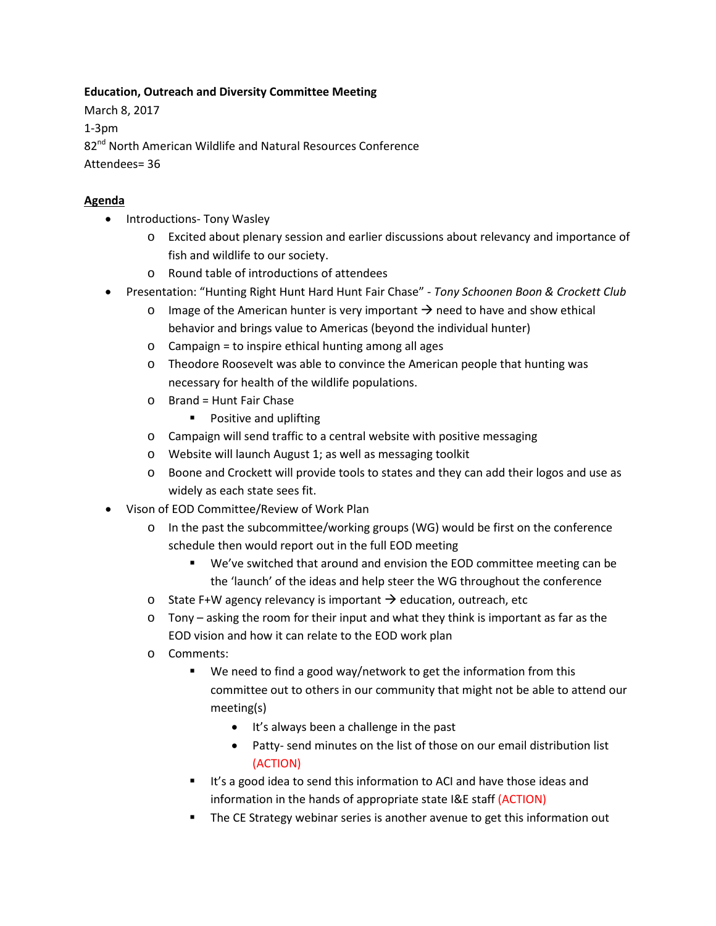## **Education, Outreach and Diversity Committee Meeting**

March 8, 2017 1-3pm 82<sup>nd</sup> North American Wildlife and Natural Resources Conference Attendees= 36

## **Agenda**

- Introductions- Tony Wasley
	- o Excited about plenary session and earlier discussions about relevancy and importance of fish and wildlife to our society.
	- o Round table of introductions of attendees
- Presentation: "Hunting Right Hunt Hard Hunt Fair Chase" *Tony Schoonen Boon & Crockett Club*
	- $\circ$  Image of the American hunter is very important  $\rightarrow$  need to have and show ethical behavior and brings value to Americas (beyond the individual hunter)
	- o Campaign = to inspire ethical hunting among all ages
	- o Theodore Roosevelt was able to convince the American people that hunting was necessary for health of the wildlife populations.
	- o Brand = Hunt Fair Chase
		- **Positive and uplifting**
	- o Campaign will send traffic to a central website with positive messaging
	- o Website will launch August 1; as well as messaging toolkit
	- o Boone and Crockett will provide tools to states and they can add their logos and use as widely as each state sees fit.
- Vison of EOD Committee/Review of Work Plan
	- o In the past the subcommittee/working groups (WG) would be first on the conference schedule then would report out in the full EOD meeting
		- We've switched that around and envision the EOD committee meeting can be the 'launch' of the ideas and help steer the WG throughout the conference
	- o State F+W agency relevancy is important  $\rightarrow$  education, outreach, etc
	- $\circ$  Tony asking the room for their input and what they think is important as far as the EOD vision and how it can relate to the EOD work plan
	- o Comments:
		- We need to find a good way/network to get the information from this committee out to others in our community that might not be able to attend our meeting(s)
			- It's always been a challenge in the past
			- Patty- send minutes on the list of those on our email distribution list (ACTION)
		- If's a good idea to send this information to ACI and have those ideas and information in the hands of appropriate state I&E staff (ACTION)
		- **The CE Strategy webinar series is another avenue to get this information out**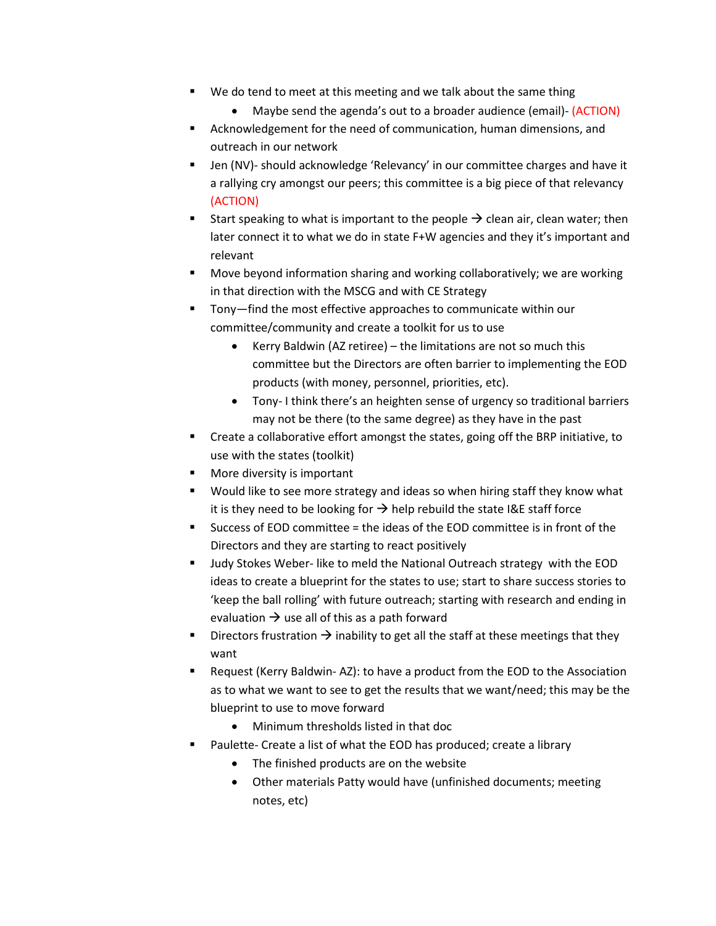- We do tend to meet at this meeting and we talk about the same thing
	- Maybe send the agenda's out to a broader audience (email) (ACTION)
- Acknowledgement for the need of communication, human dimensions, and outreach in our network
- Jen (NV)- should acknowledge 'Relevancy' in our committee charges and have it a rallying cry amongst our peers; this committee is a big piece of that relevancy (ACTION)
- Start speaking to what is important to the people  $\rightarrow$  clean air, clean water; then later connect it to what we do in state F+W agencies and they it's important and relevant
- **Move beyond information sharing and working collaboratively; we are working** in that direction with the MSCG and with CE Strategy
- Tony—find the most effective approaches to communicate within our committee/community and create a toolkit for us to use
	- Kerry Baldwin (AZ retiree) the limitations are not so much this committee but the Directors are often barrier to implementing the EOD products (with money, personnel, priorities, etc).
	- Tony- I think there's an heighten sense of urgency so traditional barriers may not be there (to the same degree) as they have in the past
- Create a collaborative effort amongst the states, going off the BRP initiative, to use with the states (toolkit)
- More diversity is important
- Would like to see more strategy and ideas so when hiring staff they know what it is they need to be looking for  $\rightarrow$  help rebuild the state I&E staff force
- Success of EOD committee = the ideas of the EOD committee is in front of the Directors and they are starting to react positively
- Judy Stokes Weber- like to meld the National Outreach strategy with the EOD ideas to create a blueprint for the states to use; start to share success stories to 'keep the ball rolling' with future outreach; starting with research and ending in evaluation  $\rightarrow$  use all of this as a path forward
- Directors frustration  $\rightarrow$  inability to get all the staff at these meetings that they want
- Request (Kerry Baldwin- AZ): to have a product from the EOD to the Association as to what we want to see to get the results that we want/need; this may be the blueprint to use to move forward
	- Minimum thresholds listed in that doc
- Paulette- Create a list of what the EOD has produced; create a library
	- The finished products are on the website
	- Other materials Patty would have (unfinished documents; meeting notes, etc)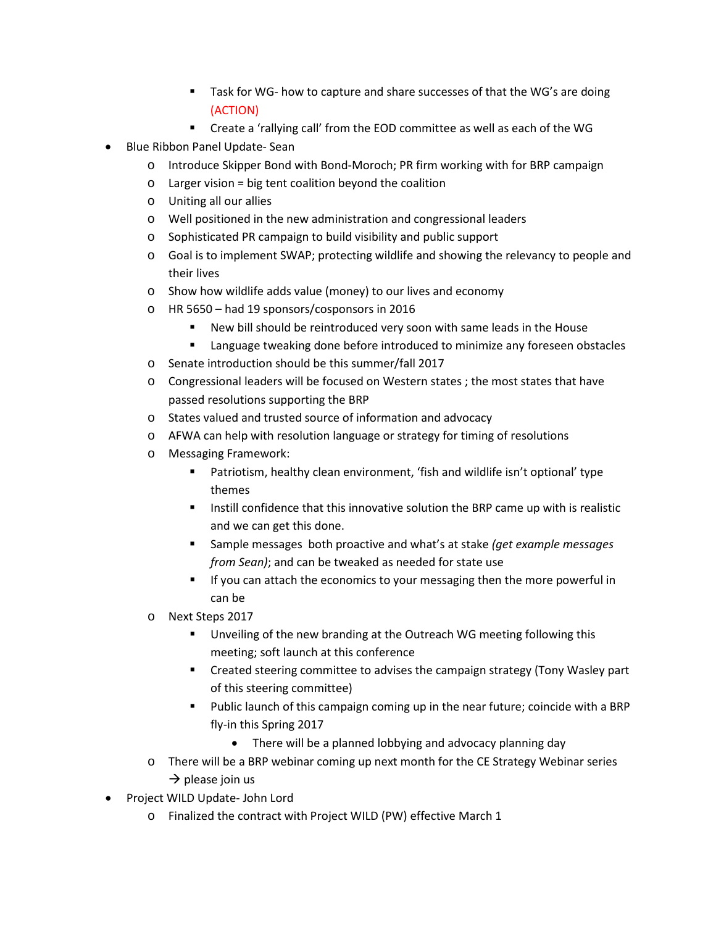- Task for WG- how to capture and share successes of that the WG's are doing (ACTION)
- Create a 'rallying call' from the EOD committee as well as each of the WG
- Blue Ribbon Panel Update- Sean
	- o Introduce Skipper Bond with Bond-Moroch; PR firm working with for BRP campaign
	- $\circ$  Larger vision = big tent coalition beyond the coalition
	- o Uniting all our allies
	- o Well positioned in the new administration and congressional leaders
	- o Sophisticated PR campaign to build visibility and public support
	- o Goal is to implement SWAP; protecting wildlife and showing the relevancy to people and their lives
	- o Show how wildlife adds value (money) to our lives and economy
	- o HR 5650 had 19 sponsors/cosponsors in 2016
		- New bill should be reintroduced very soon with same leads in the House
		- Language tweaking done before introduced to minimize any foreseen obstacles
	- o Senate introduction should be this summer/fall 2017
	- o Congressional leaders will be focused on Western states ; the most states that have passed resolutions supporting the BRP
	- o States valued and trusted source of information and advocacy
	- o AFWA can help with resolution language or strategy for timing of resolutions
	- o Messaging Framework:
		- Patriotism, healthy clean environment, 'fish and wildlife isn't optional' type themes
		- **Instill confidence that this innovative solution the BRP came up with is realistic** and we can get this done.
		- Sample messages both proactive and what's at stake *(get example messages from Sean)*; and can be tweaked as needed for state use
		- If you can attach the economics to your messaging then the more powerful in can be
	- o Next Steps 2017
		- **Unveiling of the new branding at the Outreach WG meeting following this** meeting; soft launch at this conference
		- Created steering committee to advises the campaign strategy (Tony Wasley part of this steering committee)
		- **Public launch of this campaign coming up in the near future; coincide with a BRP** fly-in this Spring 2017
			- There will be a planned lobbying and advocacy planning day
	- $\circ$  There will be a BRP webinar coming up next month for the CE Strategy Webinar series  $\rightarrow$  please join us
- Project WILD Update- John Lord
	- o Finalized the contract with Project WILD (PW) effective March 1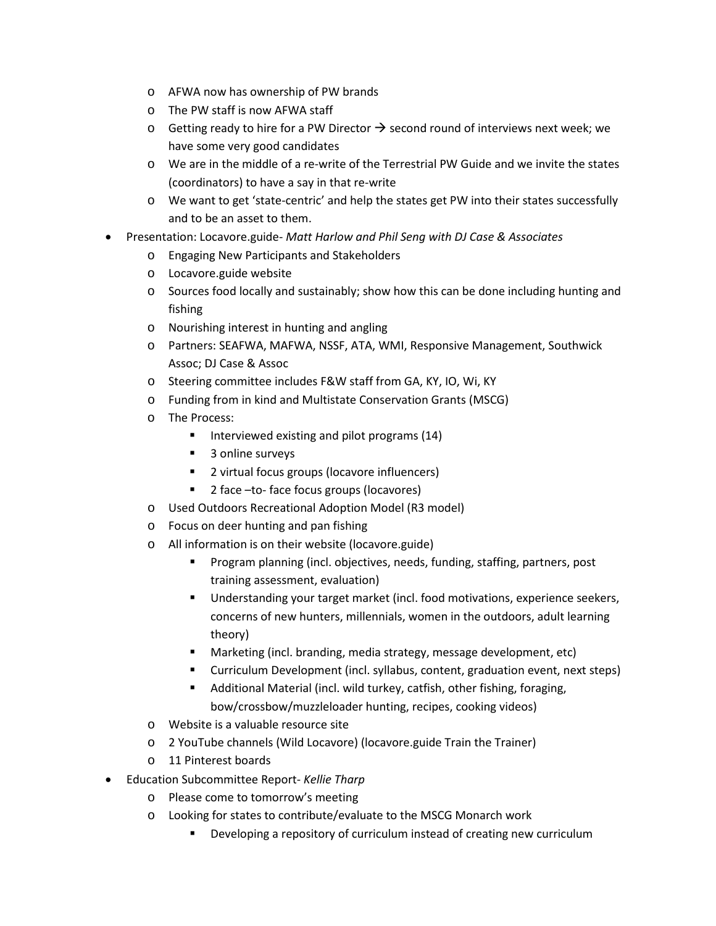- o AFWA now has ownership of PW brands
- o The PW staff is now AFWA staff
- $\circ$  Getting ready to hire for a PW Director  $\rightarrow$  second round of interviews next week; we have some very good candidates
- o We are in the middle of a re-write of the Terrestrial PW Guide and we invite the states (coordinators) to have a say in that re-write
- o We want to get 'state-centric' and help the states get PW into their states successfully and to be an asset to them.
- Presentation: Locavore.guide- *Matt Harlow and Phil Seng with DJ Case & Associates*
	- o Engaging New Participants and Stakeholders
	- o Locavore.guide website
	- o Sources food locally and sustainably; show how this can be done including hunting and fishing
	- o Nourishing interest in hunting and angling
	- o Partners: SEAFWA, MAFWA, NSSF, ATA, WMI, Responsive Management, Southwick Assoc; DJ Case & Assoc
	- o Steering committee includes F&W staff from GA, KY, IO, Wi, KY
	- o Funding from in kind and Multistate Conservation Grants (MSCG)
	- o The Process:
		- Interviewed existing and pilot programs (14)
		- 3 online surveys
		- 2 virtual focus groups (locavore influencers)
		- 2 face –to- face focus groups (locavores)
	- o Used Outdoors Recreational Adoption Model (R3 model)
	- o Focus on deer hunting and pan fishing
	- o All information is on their website (locavore.guide)
		- Program planning (incl. objectives, needs, funding, staffing, partners, post training assessment, evaluation)
		- Understanding your target market (incl. food motivations, experience seekers, concerns of new hunters, millennials, women in the outdoors, adult learning theory)
		- Marketing (incl. branding, media strategy, message development, etc)
		- Curriculum Development (incl. syllabus, content, graduation event, next steps)
		- Additional Material (incl. wild turkey, catfish, other fishing, foraging, bow/crossbow/muzzleloader hunting, recipes, cooking videos)
	- o Website is a valuable resource site
	- o 2 YouTube channels (Wild Locavore) (locavore.guide Train the Trainer)
	- o 11 Pinterest boards
- Education Subcommittee Report- *Kellie Tharp*
	- o Please come to tomorrow's meeting
	- o Looking for states to contribute/evaluate to the MSCG Monarch work
		- Developing a repository of curriculum instead of creating new curriculum